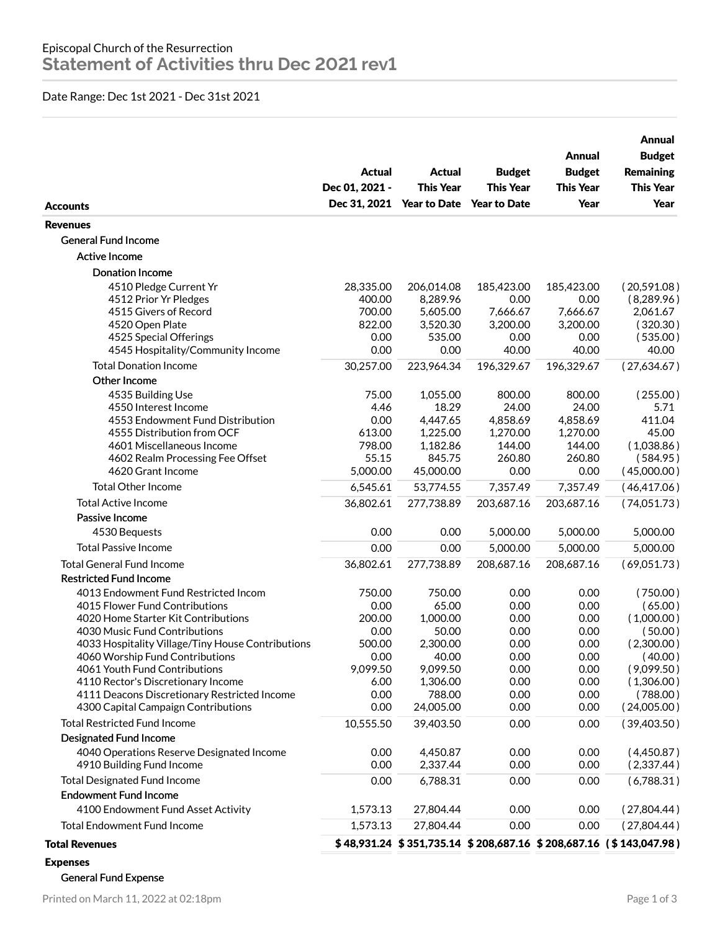## Date Range: Dec 1st 2021 - Dec 31st 2021

| <b>Accounts</b>                                   | <b>Actual</b><br>Dec 01, 2021 - | <b>Actual</b><br><b>This Year</b><br>Dec 31, 2021 Year to Date Year to Date | <b>Budget</b><br><b>This Year</b> | Annual<br><b>Budget</b><br><b>This Year</b><br>Year | Annual<br><b>Budget</b><br><b>Remaining</b><br><b>This Year</b><br>Year |
|---------------------------------------------------|---------------------------------|-----------------------------------------------------------------------------|-----------------------------------|-----------------------------------------------------|-------------------------------------------------------------------------|
| <b>Revenues</b>                                   |                                 |                                                                             |                                   |                                                     |                                                                         |
| <b>General Fund Income</b>                        |                                 |                                                                             |                                   |                                                     |                                                                         |
| <b>Active Income</b>                              |                                 |                                                                             |                                   |                                                     |                                                                         |
| Donation Income                                   |                                 |                                                                             |                                   |                                                     |                                                                         |
| 4510 Pledge Current Yr                            | 28,335.00                       | 206,014.08                                                                  | 185,423.00                        | 185,423.00                                          | (20,591.08)                                                             |
| 4512 Prior Yr Pledges                             | 400.00                          | 8,289.96                                                                    | 0.00                              | 0.00                                                | (8, 289.96)                                                             |
| 4515 Givers of Record                             | 700.00                          | 5,605.00                                                                    | 7,666.67                          | 7,666.67                                            | 2,061.67                                                                |
| 4520 Open Plate                                   | 822.00                          | 3,520.30                                                                    | 3,200.00                          | 3,200.00                                            | (320.30)                                                                |
| 4525 Special Offerings                            | 0.00                            | 535.00                                                                      | 0.00                              | 0.00                                                | (535.00)                                                                |
| 4545 Hospitality/Community Income                 | 0.00                            | 0.00                                                                        | 40.00                             | 40.00                                               | 40.00                                                                   |
| <b>Total Donation Income</b>                      | 30,257.00                       | 223,964.34                                                                  | 196,329.67                        | 196,329.67                                          | (27,634.67)                                                             |
| Other Income                                      |                                 |                                                                             |                                   |                                                     |                                                                         |
| 4535 Building Use                                 | 75.00                           | 1,055.00                                                                    | 800.00                            | 800.00                                              | (255.00)                                                                |
| 4550 Interest Income                              | 4.46                            | 18.29                                                                       | 24.00                             | 24.00                                               | 5.71                                                                    |
| 4553 Endowment Fund Distribution                  | 0.00                            | 4,447.65                                                                    | 4,858.69                          | 4,858.69                                            | 411.04                                                                  |
| 4555 Distribution from OCF                        | 613.00                          | 1,225.00                                                                    | 1,270.00                          | 1,270.00                                            | 45.00                                                                   |
| 4601 Miscellaneous Income                         | 798.00                          | 1,182.86                                                                    | 144.00                            | 144.00                                              | (1,038.86)                                                              |
| 4602 Realm Processing Fee Offset                  | 55.15                           | 845.75                                                                      | 260.80                            | 260.80                                              | (584.95)                                                                |
| 4620 Grant Income                                 | 5,000.00                        | 45,000.00                                                                   | 0.00                              | 0.00                                                | (45,000.00)                                                             |
| <b>Total Other Income</b>                         | 6,545.61                        | 53,774.55                                                                   | 7,357.49                          | 7,357.49                                            | (46, 417.06)                                                            |
| <b>Total Active Income</b>                        | 36,802.61                       | 277,738.89                                                                  | 203,687.16                        | 203,687.16                                          | (74,051.73)                                                             |
| Passive Income                                    |                                 |                                                                             |                                   |                                                     |                                                                         |
| 4530 Bequests                                     | 0.00                            | 0.00                                                                        | 5,000.00                          | 5,000.00                                            | 5,000.00                                                                |
| <b>Total Passive Income</b>                       | 0.00                            | 0.00                                                                        | 5,000.00                          | 5,000.00                                            | 5,000.00                                                                |
| <b>Total General Fund Income</b>                  | 36,802.61                       | 277,738.89                                                                  | 208,687.16                        | 208,687.16                                          | (69,051.73)                                                             |
| <b>Restricted Fund Income</b>                     |                                 |                                                                             |                                   |                                                     |                                                                         |
| 4013 Endowment Fund Restricted Incom              | 750.00                          | 750.00                                                                      | 0.00                              | 0.00                                                | (750.00)                                                                |
| 4015 Flower Fund Contributions                    | 0.00                            | 65.00                                                                       | 0.00                              | 0.00                                                | (65.00)                                                                 |
| 4020 Home Starter Kit Contributions               | 200.00                          | 1,000.00                                                                    | 0.00                              | 0.00                                                | (1,000.00)                                                              |
| 4030 Music Fund Contributions                     | 0.00                            | 50.00                                                                       | 0.00                              | 0.00                                                | (50.00)                                                                 |
| 4033 Hospitality Village/Tiny House Contributions | 500.00                          | 2,300.00                                                                    | 0.00                              | 0.00                                                | (2,300.00)                                                              |
| 4060 Worship Fund Contributions                   | 0.00                            | 40.00                                                                       | 0.00                              | 0.00                                                | (40.00)                                                                 |
| 4061 Youth Fund Contributions                     | 9,099.50                        | 9,099.50                                                                    | 0.00                              | 0.00                                                | (9,099.50)                                                              |
| 4110 Rector's Discretionary Income                | 6.00                            | 1,306.00                                                                    | 0.00                              | 0.00                                                | (1,306.00)                                                              |
| 4111 Deacons Discretionary Restricted Income      | 0.00                            | 788.00                                                                      | 0.00                              | 0.00                                                | (788.00)                                                                |
| 4300 Capital Campaign Contributions               | 0.00                            | 24,005.00                                                                   | 0.00                              | 0.00                                                | (24,005.00)                                                             |
| <b>Total Restricted Fund Income</b>               | 10,555.50                       | 39,403.50                                                                   | 0.00                              | 0.00                                                | (39,403.50)                                                             |
| Designated Fund Income                            |                                 |                                                                             |                                   |                                                     |                                                                         |
| 4040 Operations Reserve Designated Income         | 0.00                            | 4,450.87                                                                    | 0.00                              | 0.00                                                | (4,450.87)                                                              |
| 4910 Building Fund Income                         | 0.00                            | 2,337.44                                                                    | 0.00                              | 0.00                                                | (2,337.44)                                                              |
| <b>Total Designated Fund Income</b>               | 0.00                            | 6,788.31                                                                    | 0.00                              | 0.00                                                | (6,788.31)                                                              |
| <b>Endowment Fund Income</b>                      |                                 |                                                                             |                                   |                                                     |                                                                         |
| 4100 Endowment Fund Asset Activity                | 1,573.13                        | 27,804.44                                                                   | 0.00                              | 0.00                                                | (27,804.44)                                                             |
| <b>Total Endowment Fund Income</b>                | 1,573.13                        | 27,804.44                                                                   | 0.00                              | 0.00                                                | (27,804.44)                                                             |
| <b>Total Revenues</b>                             |                                 |                                                                             |                                   |                                                     | \$48,931.24 \$351,735.14 \$208,687.16 \$208,687.16 (\$143,047.98)       |
| <b>Expenses</b>                                   |                                 |                                                                             |                                   |                                                     |                                                                         |

General Fund Expense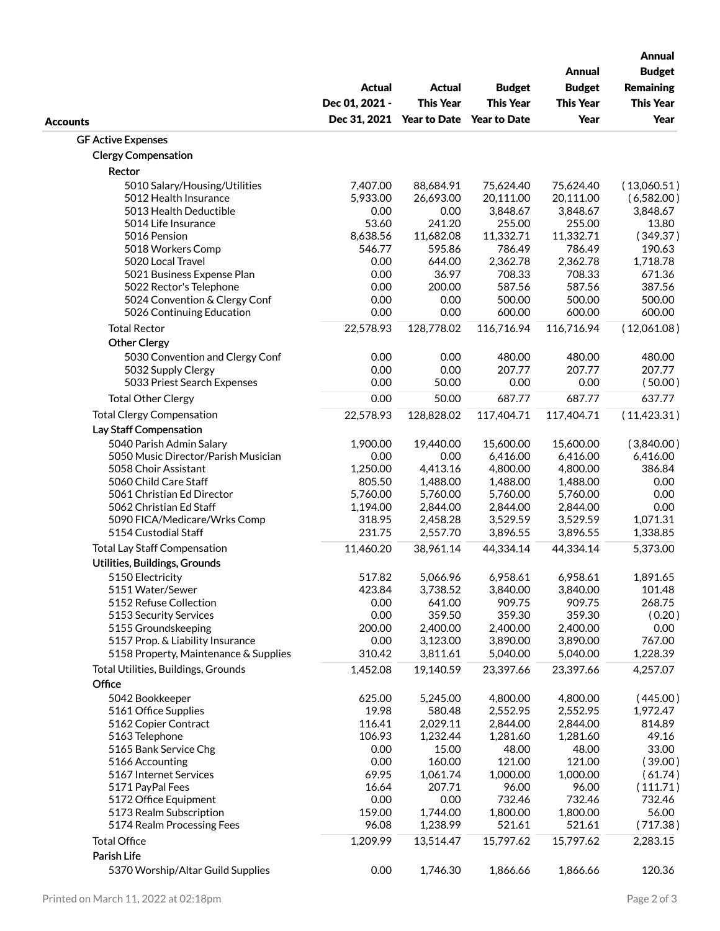|                                               | <b>Actual</b><br>Dec 01, 2021 - | <b>Actual</b><br><b>This Year</b><br>Dec 31, 2021 Year to Date Year to Date | <b>Budget</b><br><b>This Year</b> | <b>Annual</b><br><b>Budget</b><br><b>This Year</b><br>Year | <b>Annual</b><br><b>Budget</b><br><b>Remaining</b><br><b>This Year</b> |
|-----------------------------------------------|---------------------------------|-----------------------------------------------------------------------------|-----------------------------------|------------------------------------------------------------|------------------------------------------------------------------------|
| <b>Accounts</b>                               |                                 |                                                                             |                                   |                                                            | Year                                                                   |
| <b>GF Active Expenses</b>                     |                                 |                                                                             |                                   |                                                            |                                                                        |
| <b>Clergy Compensation</b>                    |                                 |                                                                             |                                   |                                                            |                                                                        |
| Rector                                        |                                 |                                                                             |                                   |                                                            |                                                                        |
|                                               |                                 |                                                                             |                                   |                                                            |                                                                        |
| 5010 Salary/Housing/Utilities                 | 7,407.00                        | 88,684.91                                                                   | 75,624.40                         | 75,624.40                                                  | (13,060.51)                                                            |
| 5012 Health Insurance                         | 5,933.00<br>0.00                | 26,693.00                                                                   | 20,111.00                         | 20,111.00                                                  | (6,582.00)                                                             |
| 5013 Health Deductible<br>5014 Life Insurance | 53.60                           | 0.00<br>241.20                                                              | 3,848.67<br>255.00                | 3,848.67<br>255.00                                         | 3,848.67<br>13.80                                                      |
| 5016 Pension                                  | 8,638.56                        | 11,682.08                                                                   | 11,332.71                         | 11,332.71                                                  | (349.37)                                                               |
| 5018 Workers Comp                             | 546.77                          | 595.86                                                                      | 786.49                            | 786.49                                                     | 190.63                                                                 |
| 5020 Local Travel                             | 0.00                            | 644.00                                                                      | 2,362.78                          | 2,362.78                                                   | 1,718.78                                                               |
| 5021 Business Expense Plan                    | 0.00                            | 36.97                                                                       | 708.33                            | 708.33                                                     | 671.36                                                                 |
| 5022 Rector's Telephone                       | 0.00                            | 200.00                                                                      | 587.56                            | 587.56                                                     | 387.56                                                                 |
| 5024 Convention & Clergy Conf                 | 0.00                            | 0.00                                                                        | 500.00                            | 500.00                                                     | 500.00                                                                 |
| 5026 Continuing Education                     | 0.00                            | 0.00                                                                        | 600.00                            | 600.00                                                     | 600.00                                                                 |
| <b>Total Rector</b>                           | 22,578.93                       | 128,778.02                                                                  | 116,716.94                        | 116,716.94                                                 | (12,061.08)                                                            |
|                                               |                                 |                                                                             |                                   |                                                            |                                                                        |
| <b>Other Clergy</b>                           |                                 |                                                                             |                                   |                                                            |                                                                        |
| 5030 Convention and Clergy Conf               | 0.00                            | 0.00                                                                        | 480.00                            | 480.00                                                     | 480.00                                                                 |
| 5032 Supply Clergy                            | 0.00                            | 0.00                                                                        | 207.77                            | 207.77                                                     | 207.77                                                                 |
| 5033 Priest Search Expenses                   | 0.00                            | 50.00                                                                       | 0.00                              | 0.00                                                       | (50.00)                                                                |
| <b>Total Other Clergy</b>                     | 0.00                            | 50.00                                                                       | 687.77                            | 687.77                                                     | 637.77                                                                 |
| <b>Total Clergy Compensation</b>              | 22,578.93                       | 128,828.02                                                                  | 117,404.71                        | 117,404.71                                                 | (11, 423.31)                                                           |
| Lay Staff Compensation                        |                                 |                                                                             |                                   |                                                            |                                                                        |
| 5040 Parish Admin Salary                      | 1,900.00                        | 19,440.00                                                                   | 15,600.00                         | 15,600.00                                                  | (3,840.00)                                                             |
| 5050 Music Director/Parish Musician           | 0.00                            | 0.00                                                                        | 6,416.00                          | 6,416.00                                                   | 6,416.00                                                               |
| 5058 Choir Assistant                          | 1,250.00                        | 4,413.16                                                                    | 4,800.00                          | 4,800.00                                                   | 386.84                                                                 |
| 5060 Child Care Staff                         | 805.50                          | 1,488.00                                                                    | 1,488.00                          | 1,488.00                                                   | 0.00                                                                   |
| 5061 Christian Ed Director                    | 5,760.00                        | 5,760.00                                                                    | 5,760.00                          | 5,760.00                                                   | 0.00                                                                   |
| 5062 Christian Ed Staff                       | 1,194.00                        | 2,844.00                                                                    | 2,844.00                          | 2,844.00                                                   | 0.00                                                                   |
| 5090 FICA/Medicare/Wrks Comp                  | 318.95                          | 2,458.28                                                                    | 3,529.59                          | 3,529.59                                                   | 1,071.31                                                               |
| 5154 Custodial Staff                          | 231.75                          | 2,557.70                                                                    | 3,896.55                          | 3,896.55                                                   | 1,338.85                                                               |
| <b>Total Lay Staff Compensation</b>           | 11,460.20                       | 38,961.14                                                                   | 44,334.14                         | 44,334.14                                                  | 5,373.00                                                               |
| Utilities, Buildings, Grounds                 |                                 |                                                                             |                                   |                                                            |                                                                        |
| 5150 Electricity                              | 517.82                          | 5,066.96                                                                    | 6,958.61                          | 6,958.61                                                   | 1,891.65                                                               |
| 5151 Water/Sewer                              | 423.84                          | 3,738.52                                                                    | 3,840.00                          | 3,840.00                                                   | 101.48                                                                 |
| 5152 Refuse Collection                        | 0.00                            | 641.00                                                                      | 909.75                            | 909.75                                                     | 268.75                                                                 |
| 5153 Security Services                        | 0.00                            | 359.50                                                                      | 359.30                            | 359.30                                                     | (0.20)                                                                 |
| 5155 Groundskeeping                           | 200.00                          | 2,400.00                                                                    | 2,400.00                          | 2,400.00                                                   | 0.00                                                                   |
| 5157 Prop. & Liability Insurance              | 0.00                            | 3,123.00                                                                    | 3,890.00                          | 3,890.00                                                   | 767.00                                                                 |
| 5158 Property, Maintenance & Supplies         | 310.42                          | 3,811.61                                                                    | 5,040.00                          | 5,040.00                                                   | 1,228.39                                                               |
| Total Utilities, Buildings, Grounds           | 1,452.08                        | 19,140.59                                                                   | 23,397.66                         | 23,397.66                                                  | 4,257.07                                                               |
| Office                                        |                                 |                                                                             |                                   |                                                            |                                                                        |
|                                               |                                 |                                                                             |                                   |                                                            |                                                                        |
| 5042 Bookkeeper<br>5161 Office Supplies       | 625.00<br>19.98                 | 5,245.00<br>580.48                                                          | 4,800.00<br>2,552.95              | 4,800.00<br>2,552.95                                       | (445.00)<br>1,972.47                                                   |
| 5162 Copier Contract                          | 116.41                          | 2,029.11                                                                    | 2,844.00                          | 2,844.00                                                   | 814.89                                                                 |
| 5163 Telephone                                | 106.93                          | 1,232.44                                                                    | 1,281.60                          | 1,281.60                                                   | 49.16                                                                  |
| 5165 Bank Service Chg                         | 0.00                            | 15.00                                                                       | 48.00                             | 48.00                                                      | 33.00                                                                  |
| 5166 Accounting                               | 0.00                            | 160.00                                                                      | 121.00                            | 121.00                                                     | (39.00)                                                                |
| 5167 Internet Services                        | 69.95                           | 1,061.74                                                                    | 1,000.00                          | 1,000.00                                                   | (61.74)                                                                |
| 5171 PayPal Fees                              | 16.64                           | 207.71                                                                      | 96.00                             | 96.00                                                      | (111.71)                                                               |
| 5172 Office Equipment                         | 0.00                            | 0.00                                                                        | 732.46                            | 732.46                                                     | 732.46                                                                 |
| 5173 Realm Subscription                       | 159.00                          | 1,744.00                                                                    | 1,800.00                          | 1,800.00                                                   | 56.00                                                                  |
| 5174 Realm Processing Fees                    | 96.08                           | 1,238.99                                                                    | 521.61                            | 521.61                                                     | (717.38)                                                               |
| <b>Total Office</b>                           | 1,209.99                        | 13,514.47                                                                   | 15,797.62                         | 15,797.62                                                  | 2,283.15                                                               |
| Parish Life                                   |                                 |                                                                             |                                   |                                                            |                                                                        |
|                                               |                                 |                                                                             |                                   |                                                            |                                                                        |
| 5370 Worship/Altar Guild Supplies             | 0.00                            | 1,746.30                                                                    | 1,866.66                          | 1,866.66                                                   | 120.36                                                                 |